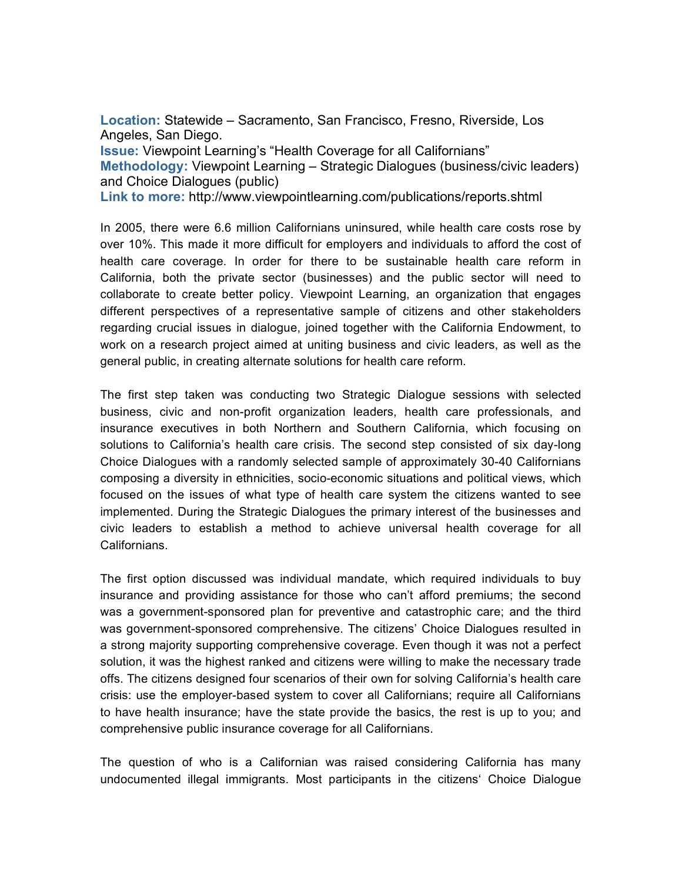**Location:** Statewide – Sacramento, San Francisco, Fresno, Riverside, Los Angeles, San Diego.

**Issue:** Viewpoint Learning's "Health Coverage for all Californians" **Methodology:** Viewpoint Learning – Strategic Dialogues (business/civic leaders) and Choice Dialogues (public)

**Link to more:** http://www.viewpointlearning.com/publications/reports.shtml

In 2005, there were 6.6 million Californians uninsured, while health care costs rose by over 10%. This made it more difficult for employers and individuals to afford the cost of health care coverage. In order for there to be sustainable health care reform in California, both the private sector (businesses) and the public sector will need to collaborate to create better policy. Viewpoint Learning, an organization that engages different perspectives of a representative sample of citizens and other stakeholders regarding crucial issues in dialogue, joined together with the California Endowment, to work on a research project aimed at uniting business and civic leaders, as well as the general public, in creating alternate solutions for health care reform.

The first step taken was conducting two Strategic Dialogue sessions with selected business, civic and non-profit organization leaders, health care professionals, and insurance executives in both Northern and Southern California, which focusing on solutions to California's health care crisis. The second step consisted of six day-long Choice Dialogues with a randomly selected sample of approximately 30-40 Californians composing a diversity in ethnicities, socio-economic situations and political views, which focused on the issues of what type of health care system the citizens wanted to see implemented. During the Strategic Dialogues the primary interest of the businesses and civic leaders to establish a method to achieve universal health coverage for all Californians.

The first option discussed was individual mandate, which required individuals to buy insurance and providing assistance for those who can't afford premiums; the second was a government-sponsored plan for preventive and catastrophic care; and the third was government-sponsored comprehensive. The citizens' Choice Dialogues resulted in a strong majority supporting comprehensive coverage. Even though it was not a perfect solution, it was the highest ranked and citizens were willing to make the necessary trade offs. The citizens designed four scenarios of their own for solving California's health care crisis: use the employer-based system to cover all Californians; require all Californians to have health insurance; have the state provide the basics, the rest is up to you; and comprehensive public insurance coverage for all Californians.

The question of who is a Californian was raised considering California has many undocumented illegal immigrants. Most participants in the citizens' Choice Dialogue